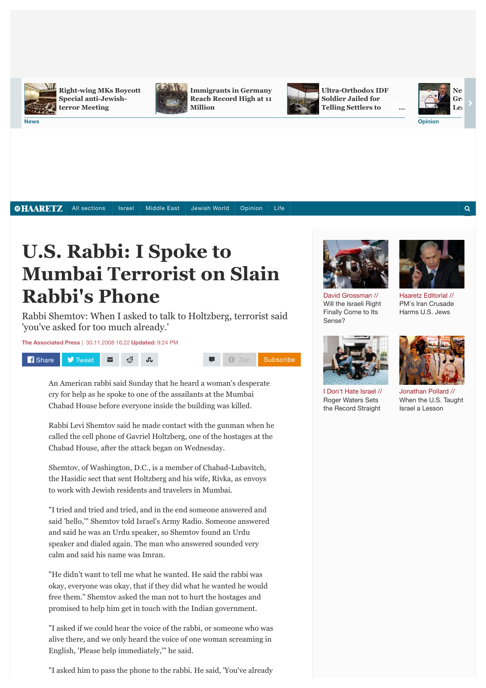

**[Right-wing MKs Boycott](http://www.haaretz.com/news/israel/.premium-1.669523) Special anti-Jewishterror Meeting**

**[Immigrants in Germany](http://www.haaretz.com/news/world/1.669514) Reach Record High at 11 Million**



**[Ultra-Orthodox IDF](http://www.haaretz.com/news/diplomacy-defense/.premium-1.669494) Soldier Jailed for Telling Settlers to**



 $\Omega$ 

**…**

**New** 

*SHAARETZ* 

All sections | [Israel](http://www.haaretz.com/news/israel) | [Middle East](http://www.haaretz.com/news/middle-east) | [Jewish World](http://www.haaretz.com/jewish-world) | [Opinion](http://www.haaretz.com/opinion) | [Life](http://www.haaretz.com/life)

# **U.S. Rabbi: I Spoke to Mumbai Terrorist on Slain Rabbi's Phone**

Rabbi Shemtov: When I asked to talk to Holtzberg, terrorist said 'you've asked for too much already.'

**[The Associated Press](http://www.haaretz.com/misc/writers/the-associated-press-1.237)** | 30.11.2008 16:22 **Updated:** 9:24 PM



An American rabbi said Sunday that he heard a woman's desperate cry for help as he spoke to one of the assailants at the Mumbai Chabad House before everyone inside the building was killed.

Rabbi Levi Shemtov said he made contact with the gunman when he called the cell phone of Gavriel Holtzberg, one of the hostages at the Chabad House, after the attack began on Wednesday.

Shemtov, of Washington, D.C., is a member of Chabad-Lubavitch, the Hasidic sect that sent Holtzberg and his wife, Rivka, as envoys to work with Jewish residents and travelers in Mumbai.

"I tried and tried and tried, and in the end someone answered and said 'hello,'" Shemtov told Israel's Army Radio. Someone answered and said he was an Urdu speaker, so Shemtov found an Urdu speaker and dialed again. The man who answered sounded very calm and said his name was Imran.

"He didn't want to tell me what he wanted. He said the rabbi was okay, everyone was okay, that if they did what he wanted he would free them." Shemtov asked the man not to hurt the hostages and promised to help him get in touch with the Indian government.

"I asked if we could hear the voice of the rabbi, or someone who was alive there, and we only heard the voice of one woman screaming in English, 'Please help immediately,'" he said.

"I asked him to pass the phone to the rabbi. He said, 'You've already



David Grossman // [Will the Israeli Right](http://www.haaretz.com/opinion/.premium-1.669326) Finally Come to Its Sense?

[I Don't Hate Israel //](http://www.haaretz.com/news/.premium-1.668705) Roger Waters Sets the Record Straight



Jonathan Pollard // [When the U.S. Taught](http://www.haaretz.com/news/diplomacy-defense/.premium-1.668533) Israel a Lesson



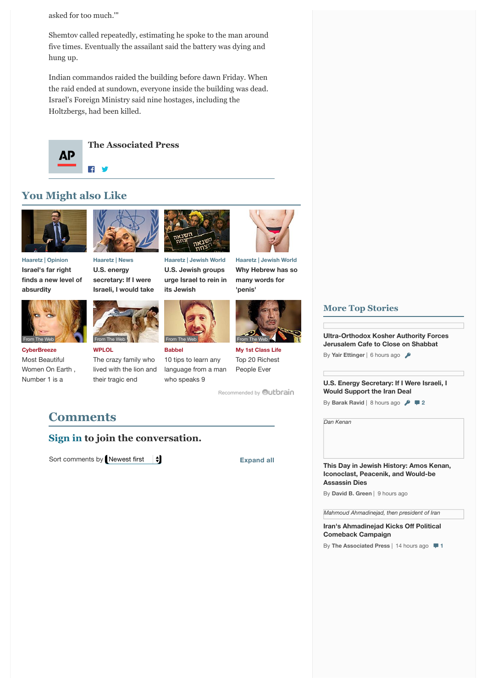asked for too much.'"

Shemtov called repeatedly, estimating he spoke to the man around five times. Eventually the assailant said the battery was dying and hung up.

Indian commandos raided the building before dawn Friday. When the raid ended at sundown, everyone inside the building was dead. Israel's Foreign Ministry said nine hostages, including the Holtzbergs, had been killed.



**[The Associated Press](http://www.haaretz.com/misc/writers/the-associated-press-1.237)**

## **You Might also Like**



**Haaretz | Opinion Israel's far right [finds a new level of](http://www.haaretz.com/opinion/1.667805) absurdity**

**CyberBreeze** Most Beautiful [Women On Earth ,](http://cyber-breeze.com/brace-your-eyes-the-most-beautiful-women-on-earth/?utm_source=Outbrain&utm_medium=referral&utm_campaign=OB-Beautiful-Int-DT) Number 1 is a

From The Web



**U.S. energy secretary: If I were [Israeli, I would take](http://www.haaretz.com/news/diplomacy-defense/.premium-1.669454)**



**WPLOL** The crazy family who [lived with the lion and](http://www.wplol.us/the-crazy-family-who-lived-with-the-lion-and-their-tragic-end/) their tragic end



**Haaretz | Jewish World U.S. Jewish groups [urge Israel to rein in](http://www.haaretz.com/jewish-world/jewish-world-news/1.669333) its Jewish**



**extremists**

**Babbel** 10 tips to learn any [language from a man](http://www.babbel.com/en/magazine/10-tips-from-an-expert?slc=engmag-a1-vid-bv1-tipsandtricks-ob&utm_source=outbrain&utm_medium=cpc&utm_campaign=cd_engall_gen_cde_bv1_polyglot) who speaks 9



**[Why Hebrew has so](http://www.haaretz.com/jewish-world/jewish-world-features/.premium-1.667193) many words for 'penis'**



**My 1st Class Life** [Top 20 Richest](http://myfirstclasslife.com/20-richest-people-time/?utm_source=ob-005c45964c0dd669c638340347bbb42f53&utm_medium=outbrain&utm_campaign=na) People Ever

[Recommended by](http://www.haaretz.com/beta/u-s-rabbi-i-spoke-to-mumbai-terrorist-on-slain-rabbi-s-phone-1.258533#) **Qutbrain** 

## **Comments**

### **[Sign in](javascript:loginPage();) to join the conversation.**

Sort comments by Newest first  $\begin{array}{c} \star \\ \star \end{array}$  Expand all

## **More Top Stories**

**[Ultra-Orthodox Kosher Authority Forces](http://www.haaretz.com/beta/.premium-1.669418) Jerusalem Cafe to Close on Shabbat**

By **Yair Ettinger** | 6 hours ago

**[U.S. Energy Secretary: If I Were Israeli, I](http://www.haaretz.com/news/diplomacy-defense/.premium-1.669454) Would Support the Iran Deal**

**By Barak Ravid** | 8 hours ago  $\sqrt{2}$  **2** 

*[Dan Kenan](http://www.haaretz.com/news/features/this-day-in-jewish-history/1.669357)*

**[This Day in Jewish History: Amos Kenan,](http://www.haaretz.com/news/features/this-day-in-jewish-history/1.669357) Iconoclast, Peacenik, and Would-be Assassin Dies**

By **David B. Green** | 9 hours ago

*[Mahmoud Ahmadinejad, then president of Iran](http://www.haaretz.com/news/middle-east/1.669413)*

**[Iran's Ahmadinejad Kicks O](http://www.haaretz.com/news/middle-east/1.669413)ff Political Comeback Campaign**

By **The Associated Press** | 14 hours ago **1**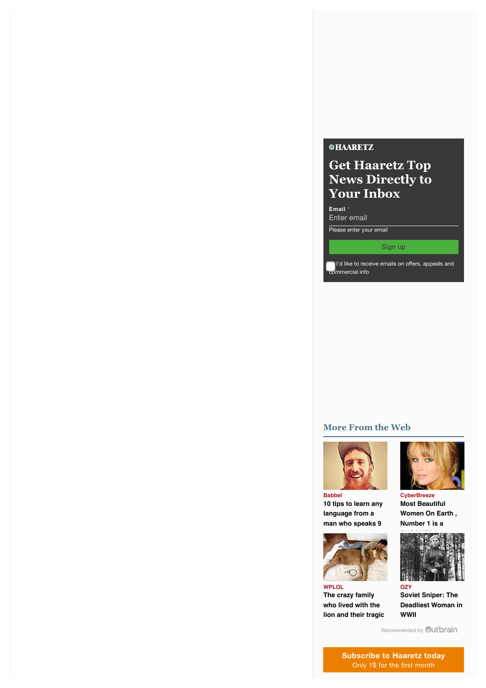#### **©HAARETZ**

# **Get Haaretz Top News Directly to Your Inbox**

**Email \***

Enter email

Please enter your email

#### Sign up

I'd like to receive emails on offers, appeals and commercial info

#### **More From the Web**



**Babbel [10 tips to learn any](http://www.babbel.com/en/magazine/10-tips-from-an-expert?slc=engmag-a1-vid-bv1-tipsandtricks-ob&utm_source=outbrain&utm_medium=cpc&utm_campaign=cd_engall_gen_cde_bv1_polyglot) language from a man who speaks 9**



**WPLOL The crazy family who lived with the [lion and their tragic](http://www.wplol.us/the-crazy-family-who-lived-with-the-lion-and-their-tragic-end/)**



**CyberBreeze Most Beautiful [Women On Earth ,](http://cyber-breeze.com/brace-your-eyes-the-most-beautiful-women-on-earth/?utm_source=Outbrain&utm_medium=referral&utm_campaign=OB-Beautiful-Int-DT) Number 1 is a**



**Soviet Sniper: The [Deadliest Woman in](http://www.ozy.com/flashback/soviet-killer-supreme/38593?utm_source=Outbrain&utm_medium=CPC&utm_campaign=INTL%20-%20All%20Clicks%20ALL%20Devices) WWII**

[Recommended by](http://www.haaretz.com/beta/u-s-rabbi-i-spoke-to-mumbai-terrorist-on-slain-rabbi-s-phone-1.258533#) **Outbrain** 

**[Subscribe to Haaretz today](http://www.haaretz.com/promotions-page)** Only 1\$ for the first month